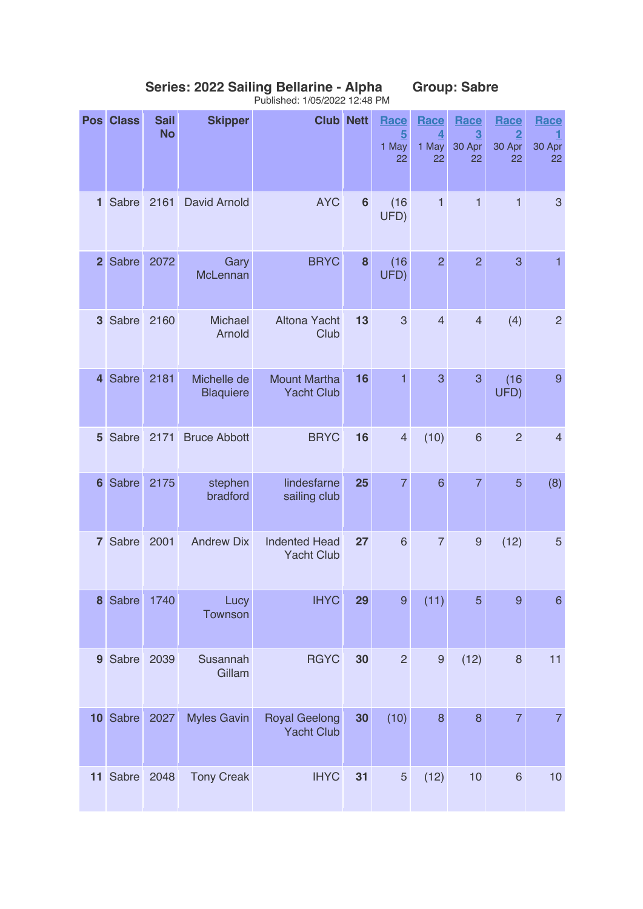| <b>Pos</b>      | <b>Class</b> | <b>Sail</b><br><b>No</b> | <b>Skipper</b>                  | <b>Club Nett</b>                          |                | Race<br>$5\overline{)}$<br>1 May<br>22 | Race<br>$\overline{\mathbf{4}}$<br>1 May<br>22 | Race<br>$\overline{3}$<br>30 Apr<br>22 | Race<br>$\overline{2}$<br>30 Apr<br>22 | Race<br>1<br>30 Apr<br>22 |
|-----------------|--------------|--------------------------|---------------------------------|-------------------------------------------|----------------|----------------------------------------|------------------------------------------------|----------------------------------------|----------------------------------------|---------------------------|
| $\mathbf{1}$    | Sabre        | 2161                     | David Arnold                    | <b>AYC</b>                                | $6\phantom{1}$ | (16)<br>UFD)                           | $\mathbf{1}$                                   | $\mathbf{1}$                           | $\mathbf{1}$                           | 3                         |
| 2 <sup>1</sup>  | Sabre        | 2072                     | Gary<br>McLennan                | <b>BRYC</b>                               | 8              | (16)<br>UFD)                           | $\overline{2}$                                 | $\overline{2}$                         | 3                                      | 1                         |
| 3 <sup>1</sup>  | Sabre        | 2160                     | <b>Michael</b><br>Arnold        | Altona Yacht<br>Club                      | 13             | $\mathbf{3}$                           | $\overline{4}$                                 | $\overline{4}$                         | (4)                                    | $\overline{c}$            |
| $\overline{4}$  | <b>Sabre</b> | 2181                     | Michelle de<br><b>Blaquiere</b> | <b>Mount Martha</b><br><b>Yacht Club</b>  | 16             | 1                                      | 3                                              | 3                                      | (16)<br>UFD)                           | 9                         |
| 5 <sup>1</sup>  | Sabre        | 2171                     | <b>Bruce Abbott</b>             | <b>BRYC</b>                               | 16             | $\overline{4}$                         | (10)                                           | $6\phantom{1}6$                        | $\overline{2}$                         | $\overline{4}$            |
| 6               | Sabre        | 2175                     | stephen<br>bradford             | lindesfarne<br>sailing club               | 25             | $\overline{7}$                         | 6                                              | $\overline{7}$                         | 5                                      | (8)                       |
| $\mathbf{7}$    | Sabre        | 2001                     | <b>Andrew Dix</b>               | <b>Indented Head</b><br><b>Yacht Club</b> | 27             | $6\phantom{1}$                         | $\overline{7}$                                 | $\overline{9}$                         | (12)                                   | 5                         |
| 8               | Sabre        | 1740                     | Lucy<br>Townson                 | <b>IHYC</b>                               | 29             | $\boldsymbol{9}$                       | (11)                                           | 5                                      | 9                                      | $\,$ 6 $\,$               |
|                 | 9 Sabre      | 2039                     | Susannah<br>Gillam              | <b>RGYC</b>                               | 30             | $\overline{2}$                         | $\boldsymbol{9}$                               | (12)                                   | $\,8\,$                                | 11                        |
| 10 <sup>°</sup> | Sabre        | 2027                     | <b>Myles Gavin</b>              | <b>Royal Geelong</b><br><b>Yacht Club</b> | 30             | (10)                                   | 8                                              | 8                                      | $\overline{7}$                         | $\overline{7}$            |
|                 | 11 Sabre     | 2048                     | <b>Tony Creak</b>               | <b>IHYC</b>                               | 31             | $\sqrt{5}$                             | (12)                                           | 10                                     | $6\phantom{1}6$                        | 10                        |

## **Series: 2022 Sailing Bellarine - Alpha Group: Sabre** Published: 1/05/2022 12:48 PM